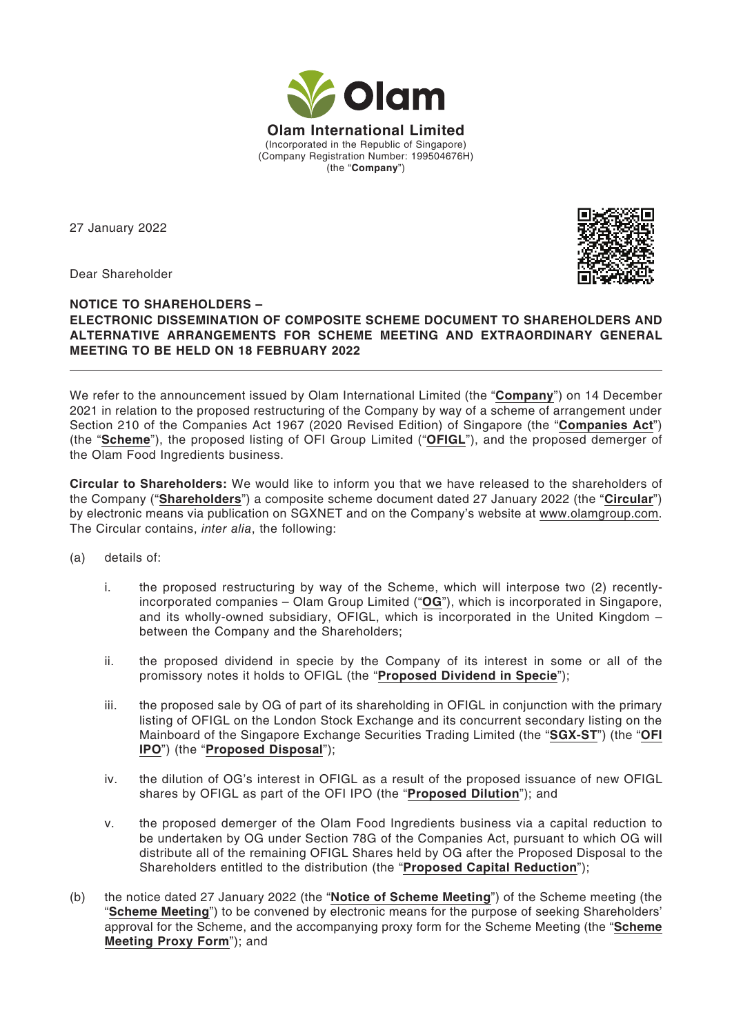

27 January 2022



Dear Shareholder

## **NOTICE TO SHAREHOLDERS – ELECTRONIC DISSEMINATION OF COMPOSITE SCHEME DOCUMENT TO SHAREHOLDERS AND ALTERNATIVE ARRANGEMENTS FOR SCHEME MEETING AND EXTRAORDINARY GENERAL MEETING TO BE HELD ON 18 FEBRUARY 2022**

We refer to the announcement issued by Olam International Limited (the "**Company**") on 14 December 2021 in relation to the proposed restructuring of the Company by way of a scheme of arrangement under Section 210 of the Companies Act 1967 (2020 Revised Edition) of Singapore (the "**Companies Act**") (the "**Scheme**"), the proposed listing of OFI Group Limited ("**OFIGL**"), and the proposed demerger of the Olam Food Ingredients business.

**Circular to Shareholders:** We would like to inform you that we have released to the shareholders of the Company ("**Shareholders**") a composite scheme document dated 27 January 2022 (the "**Circular**") by electronic means via publication on SGXNET and on the Company's website at www.olamgroup.com. The Circular contains, *inter alia*, the following:

- (a) details of:
	- i. the proposed restructuring by way of the Scheme, which will interpose two (2) recentlyincorporated companies – Olam Group Limited ("**OG**"), which is incorporated in Singapore, and its wholly-owned subsidiary, OFIGL, which is incorporated in the United Kingdom – between the Company and the Shareholders;
	- ii. the proposed dividend in specie by the Company of its interest in some or all of the promissory notes it holds to OFIGL (the "**Proposed Dividend in Specie**");
	- iii. the proposed sale by OG of part of its shareholding in OFIGL in conjunction with the primary listing of OFIGL on the London Stock Exchange and its concurrent secondary listing on the Mainboard of the Singapore Exchange Securities Trading Limited (the "**SGX-ST**") (the "**OFI IPO**") (the "**Proposed Disposal**");
	- iv. the dilution of OG's interest in OFIGL as a result of the proposed issuance of new OFIGL shares by OFIGL as part of the OFI IPO (the "**Proposed Dilution**"); and
	- v. the proposed demerger of the Olam Food Ingredients business via a capital reduction to be undertaken by OG under Section 78G of the Companies Act, pursuant to which OG will distribute all of the remaining OFIGL Shares held by OG after the Proposed Disposal to the Shareholders entitled to the distribution (the "**Proposed Capital Reduction**");
- (b) the notice dated 27 January 2022 (the "**Notice of Scheme Meeting**") of the Scheme meeting (the "**Scheme Meeting**") to be convened by electronic means for the purpose of seeking Shareholders' approval for the Scheme, and the accompanying proxy form for the Scheme Meeting (the "**Scheme Meeting Proxy Form**"); and